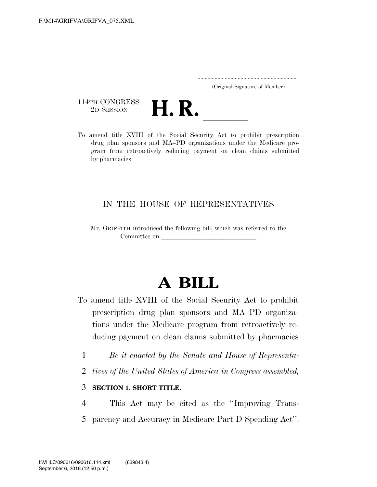..................................................................... (Original Signature of Member)

114TH CONGRESS<br>2D SESSION



THE CONGRESS<br>
2D SESSION<br>
To amend title XVIII of the Social Security Act to prohibit prescription drug plan sponsors and MA–PD organizations under the Medicare program from retroactively reducing payment on clean claims submitted by pharmacies

## IN THE HOUSE OF REPRESENTATIVES

Mr. GRIFFITH introduced the following bill; which was referred to the Committee on

## **A BILL**

- To amend title XVIII of the Social Security Act to prohibit prescription drug plan sponsors and MA–PD organizations under the Medicare program from retroactively reducing payment on clean claims submitted by pharmacies
	- 1 *Be it enacted by the Senate and House of Representa-*
	- 2 *tives of the United States of America in Congress assembled,*

## 3 **SECTION 1. SHORT TITLE.**

4 This Act may be cited as the ''Improving Trans-5 parency and Accuracy in Medicare Part D Spending Act''.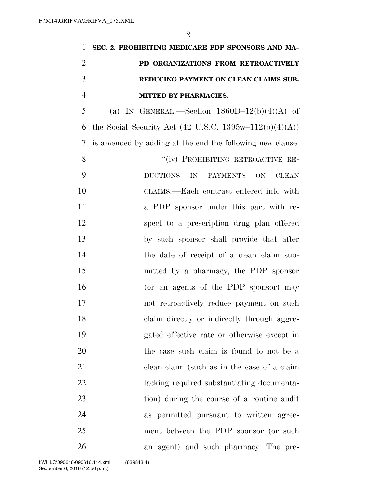| $\mathbf{1}$   | SEC. 2. PROHIBITING MEDICARE PDP SPONSORS AND MA-                     |
|----------------|-----------------------------------------------------------------------|
| $\overline{2}$ | PD ORGANIZATIONS FROM RETROACTIVELY                                   |
| 3              | REDUCING PAYMENT ON CLEAN CLAIMS SUB-                                 |
| $\overline{4}$ | MITTED BY PHARMACIES.                                                 |
| 5              | (a) IN GENERAL.—Section $1860D-12(b)(4)(A)$ of                        |
| 6              | the Social Security Act (42 U.S.C. 1395w-112(b)(4)(A))                |
| 7              | is amended by adding at the end the following new clause:             |
| 8              | "(iv) PROHIBITING RETROACTIVE RE-                                     |
| 9              | IN<br><b>DUCTIONS</b><br><b>PAYMENTS</b><br><b>ON</b><br><b>CLEAN</b> |
| 10             | CLAIMS.—Each contract entered into with                               |
| 11             | a PDP sponsor under this part with re-                                |
| 12             | spect to a prescription drug plan offered                             |
| 13             | by such sponsor shall provide that after                              |
| 14             | the date of receipt of a clean claim sub-                             |
| 15             | mitted by a pharmacy, the PDP sponsor                                 |
| 16             | (or an agents of the PDP sponsor) may                                 |
| 17             | not retroactively reduce payment on such                              |
| 18             | claim directly or indirectly through aggre-                           |
| 19             | gated effective rate or otherwise except in                           |
| 20             | the case such claim is found to not be a                              |
| 21             | clean claim (such as in the case of a claim                           |
| 22             | lacking required substantiating documenta-                            |
| 23             | tion) during the course of a routine audit                            |
| 24             | as permitted pursuant to written agree-                               |
| 25             | ment between the PDP sponsor (or such                                 |
| 26             | an agent) and such pharmacy. The pre-                                 |